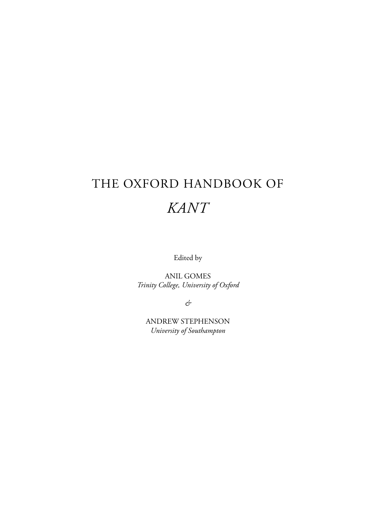# THE OXFORD HANDBOOK OF *KANT*

Edited by

ANIL GOMES *Trinity College, University of Oxford*

*&*

ANDREW STEPHENSON *University of Southampton*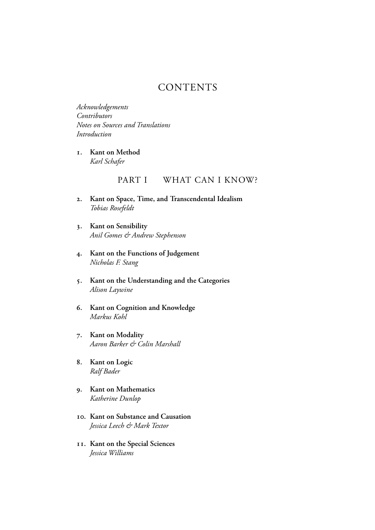## **CONTENTS**

*Acknowledgements Contributors Notes on Sources and Translations Introduction*

**. Kant on Method** *Karl Schafer*

### PART I WHAT CAN I KNOW?

- **. Kant on Space, Time, and Transcendental Idealism** *Tobias Rosefeldt*
- **. Kant on Sensibility** *Anil Gomes & Andrew Stephenson*
- **. Kant on the Functions of Judgement** *Nicholas F. Stang*
- **. Kant on the Understanding and the Categories** *Alison Laywine*
- **. Kant on Cognition and Knowledge** *Markus Kohl*
- **. Kant on Modality** *Aaron Barker & Colin Marshall*
- **. Kant on Logic** *Ralf Bader*
- **. Kant on Mathematics** *Katherine Dunlop*
- **. Kant on Substance and Causation** *Jessica Leech & Mark Textor*
- **. Kant on the Special Sciences** *Jessica Williams*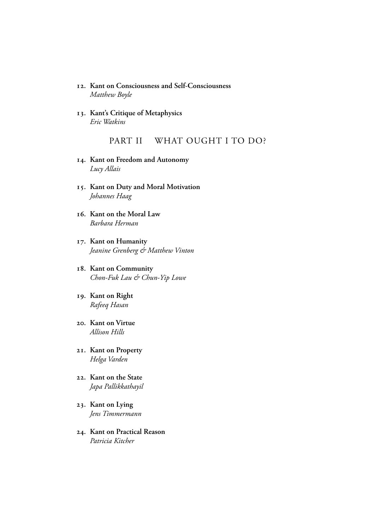- **. Kant on Consciousness and Self-Consciousness** *Matthew Boyle*
- **. Kant's Critique of Metaphysics** *Eric Watkins*

#### PART II WHAT OUGHT I TO DO?

- **. Kant on Freedom and Autonomy** *Lucy Allais*
- **. Kant on Duty and Moral Motivation** *Johannes Haag*
- **. Kant on the Moral Law** *Barbara Herman*
- **. Kant on Humanity** *Jeanine Grenberg & Matthew Vinton*
- **. Kant on Community** *Chon-Fuk Lau & Chun-Yip Lowe*
- **. Kant on Right** *Rafeeq Hasan*
- **. Kant on Virtue** *Allison Hills*
- **. Kant on Property** *Helga Varden*
- **. Kant on the State** *Japa Pallikkathayil*
- **. Kant on Lying** *Jens Timmermann*
- **. Kant on Practical Reason** *Patricia Kitcher*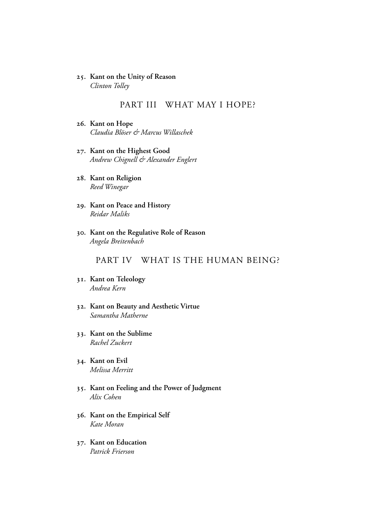**. Kant on the Unity of Reason** *Clinton Tolley*

#### PART III WHAT MAY I HOPE?

- **. Kant on Hope** *Claudia Blöser & Marcus Willaschek*
- **. Kant on the Highest Good** *Andrew Chignell & Alexander Englert*
- **. Kant on Religion** *Reed Winegar*
- **. Kant on Peace and History** *Reidar Maliks*
- **. Kant on the Regulative Role of Reason** *Angela Breitenbach*

#### PART IV WHAT IS THE HUMAN BEING?

- **. Kant on Teleology** *Andrea Kern*
- **. Kant on Beauty and Aesthetic Virtue** *Samantha Matherne*
- **. Kant on the Sublime** *Rachel Zuckert*
- **. Kant on Evil** *Melissa Merritt*
- **. Kant on Feeling and the Power of Judgment** *Alix Cohen*
- **. Kant on the Empirical Self** *Kate Moran*
- **. Kant on Education** *Patrick Frierson*